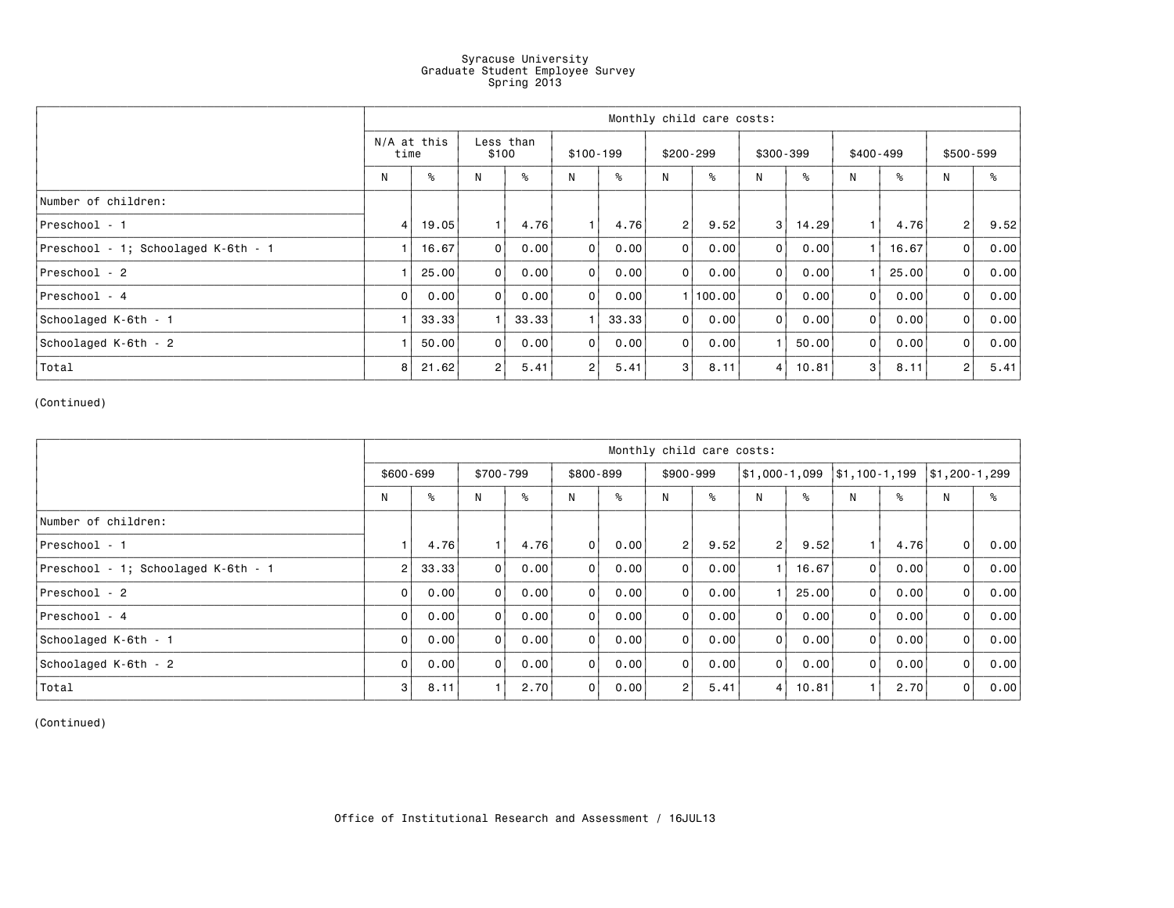## Syracuse University Graduate Student Employee Survey Spring 2013

|                                     | Monthly child care costs: |       |                    |       |                |       |                |          |                      |       |                |       |                |      |
|-------------------------------------|---------------------------|-------|--------------------|-------|----------------|-------|----------------|----------|----------------------|-------|----------------|-------|----------------|------|
|                                     | $N/A$ at this<br>time     |       | Less than<br>\$100 |       | $$100-199$     |       | $$200-299$     |          | \$300-399            |       | \$400-499      |       | \$500-599      |      |
|                                     | N                         | ℅     | N                  | ℅     | N              | ℅     | N              | ℅        | N                    | ℅     | N              | ℅     | N              | ℅    |
| Number of children:                 |                           |       |                    |       |                |       |                |          |                      |       |                |       |                |      |
| Preschool - 1                       | $\overline{4}$            | 19.05 | 1.                 | 4.76  | 1              | 4.76  | 2 <sup>1</sup> | 9.52     | 3                    | 14.29 | 1.             | 4.76  | 2 <sup>1</sup> | 9.52 |
| Preschool - 1; Schoolaged K-6th - 1 |                           | 16.67 | $\overline{0}$     | 0.00  | $\overline{0}$ | 0.00  | $\Omega$       | 0.00     | 0                    | 0.00  |                | 16.67 | $\overline{0}$ | 0.00 |
| Preschool - 2                       |                           | 25.00 | $\Omega$           | 0.00  | 0              | 0.00  | $\Omega$       | 0.00     | $\overline{0}$       | 0.00  |                | 25.00 | $\overline{0}$ | 0.00 |
| Preschool - 4                       | 0                         | 0.00  | 0 <sup>1</sup>     | 0.00  | $\overline{0}$ | 0.00  |                | 1 100.00 | $\overline{0}$       | 0.00  | $\overline{0}$ | 0.00  | $\overline{0}$ | 0.00 |
| Schoolaged K-6th - 1                |                           | 33.33 |                    | 33.33 |                | 33.33 | $\overline{0}$ | 0.00     | $\overline{0}$       | 0.00  | $\Omega$       | 0.00  | $\overline{0}$ | 0.00 |
| Schoolaged K-6th - 2                |                           | 50.00 | $\Omega$           | 0.00  | $\overline{0}$ | 0.00  | $\mathbf 0$    | 0.00     | $\blacktriangleleft$ | 50.00 | 0              | 0.00  | $\overline{0}$ | 0.00 |
| Total                               | 8                         | 21.62 | 2 <sub>1</sub>     | 5.41  | 2              | 5.41  | 3              | 8.11     | 4                    | 10.81 | 3              | 8.11  | $\overline{2}$ | 5.41 |

(Continued)

|                                     | Monthly child care costs: |       |                |      |                |      |                |      |                |       |                               |      |                |      |
|-------------------------------------|---------------------------|-------|----------------|------|----------------|------|----------------|------|----------------|-------|-------------------------------|------|----------------|------|
|                                     | $$600 - 699$              |       | \$700-799      |      | \$800-899      |      | $$900-999$     |      | \$1,000-1,099  |       | $\frac{1}{31}$ , 100 - 1, 199 |      | \$1,200-1,299  |      |
|                                     | N                         | ℁     | N              | ℅    | N              | ℅    | N              | ℅    | N              | ℅     | N                             | ℅    | N              | ℅    |
| Number of children:                 |                           |       |                |      |                |      |                |      |                |       |                               |      |                |      |
| Preschool - 1                       |                           | 4.76  |                | 4.76 | $\overline{0}$ | 0.00 | 2 <sup>1</sup> | 9.52 | 2 <sub>1</sub> | 9.52  |                               | 4.76 | $\overline{0}$ | 0.00 |
| Preschool - 1; Schoolaged K-6th - 1 | $\overline{2}$            | 33.33 | $\overline{0}$ | 0.00 | $\overline{0}$ | 0.00 | $\Omega$       | 0.00 | 1              | 16.67 | 0                             | 0.00 | $\overline{0}$ | 0.00 |
| Preschool - 2                       | 0                         | 0.00  | $\overline{0}$ | 0.00 | $\overline{0}$ | 0.00 | $\overline{0}$ | 0.00 |                | 25.00 | $\overline{0}$                | 0.00 | $\overline{0}$ | 0.00 |
| Preschool - 4                       | $\overline{0}$            | 0.00  | $\overline{0}$ | 0.00 | $\overline{0}$ | 0.00 | $\Omega$       | 0.00 | $\overline{0}$ | 0.00  | $\overline{0}$                | 0.00 | $\overline{0}$ | 0.00 |
| Schoolaged K-6th - 1                | $\overline{0}$            | 0.00  | $\Omega$       | 0.00 | 0              | 0.00 | $\Omega$       | 0.00 | $\overline{0}$ | 0.00  | 0                             | 0.00 | $\Omega$       | 0.00 |
| Schoolaged K-6th - 2                | $\overline{0}$            | 0.00  | $\overline{0}$ | 0.00 | $\overline{0}$ | 0.00 | $\overline{0}$ | 0.00 | 0              | 0.00  | $\Omega$                      | 0.00 | 0              | 0.00 |
| Total                               | 3                         | 8.11  |                | 2.70 | $\overline{0}$ | 0.00 | $\overline{2}$ | 5.41 | $\overline{4}$ | 10.81 | $\overline{1}$                | 2.70 | $\overline{0}$ | 0.00 |

(Continued)